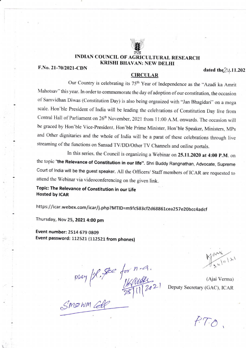

## **INDIAN COUNCIL OF AGRICULTURAL RESEARCH KRISHI BHAVAN: NEW DELHI**

F.No. 21-70/2021-CDN

## dated the 20.11.202

## **CIRCULAR**

Our Country is celebrating its 75<sup>th</sup> Year of Independence as the "Azadi ka Amrit Mahotsav" this year. In order to commemorate the day of adoption of our constitution, the occasion of Samvidhan Diwas (Constitution Day) is also being organized with "Jan Bhagidari" on a mega scale. Hon'ble President of India will be leading the celebrations of Constitution Day live from Central Hall of Parliament on 26<sup>th</sup> November, 2021 from 11:00 A.M. onwards. The occasion will be graced by Hon'ble Vice-President, Hon'ble Prime Minister, Hon'ble Speaker, Ministers, MPs and Other dignitaries and the whole of India will be a parat of these celebrations through live streaming of the functions on Sansad TV/DD/Other TV Channels and online portals.

In this series, the Council is organizing a Webinar on 25.11.2020 at 4:00 P.M. on the topic "the Relevance of Constitution in our life". Shri Buddy Rangnathan, Advocate, Supreme Court of India will be the guest speaker. All the Officers/ Staff members of ICAR are requested to attend the Webinar via videoconferencing on the given link.

Topic: The Relevance of Constitution in our Life **Hosted by ICAR** 

https://icar.webex.com/icar/j.php?MTID=m9fc583cf2d68861cea257e20bcc4adcf

Thursday, Nov 25, 2021 4:00 pm

Event number: 2514 679 0809 Event password: 112521 (112521 from phones)

May / 1. fee for n. 9.<br>Smown call 1/2021

(Ajai Verma) Deputy Secretary (GAC), ICAR

 $RT.0$